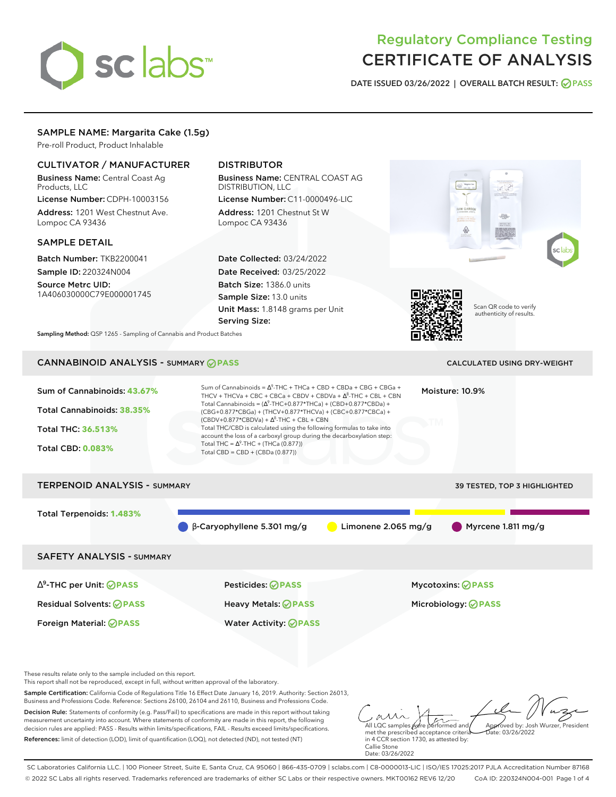# sclabs<sup>\*</sup>

# Regulatory Compliance Testing CERTIFICATE OF ANALYSIS

**DATE ISSUED 03/26/2022 | OVERALL BATCH RESULT: PASS**

**RAW GARDE** 

&

# SAMPLE NAME: Margarita Cake (1.5g)

Pre-roll Product, Product Inhalable

# CULTIVATOR / MANUFACTURER

Business Name: Central Coast Ag Products, LLC

License Number: CDPH-10003156 Address: 1201 West Chestnut Ave. Lompoc CA 93436

# SAMPLE DETAIL

Batch Number: TKB2200041 Sample ID: 220324N004

Source Metrc UID: 1A406030000C79E000001745

# DISTRIBUTOR

Business Name: CENTRAL COAST AG DISTRIBUTION, LLC License Number: C11-0000496-LIC

Address: 1201 Chestnut St W Lompoc CA 93436

Date Collected: 03/24/2022 Date Received: 03/25/2022 Batch Size: 1386.0 units Sample Size: 13.0 units Unit Mass: 1.8148 grams per Unit Serving Size:



Scan QR code to verify authenticity of results.

**Sampling Method:** QSP 1265 - Sampling of Cannabis and Product Batches

# CANNABINOID ANALYSIS - SUMMARY **PASS** CALCULATED USING DRY-WEIGHT

| Sum of Cannabinoids: 43.67%<br>Total Cannabinoids: 38.35%<br><b>Total THC: 36.513%</b><br><b>Total CBD: 0.083%</b> | Sum of Cannabinoids = $\Delta^9$ -THC + THCa + CBD + CBDa + CBG + CBGa +<br>THCV + THCVa + CBC + CBCa + CBDV + CBDVa + $\Delta^8$ -THC + CBL + CBN<br>Total Cannabinoids = $(\Delta^9$ -THC+0.877*THCa) + (CBD+0.877*CBDa) +<br>(CBG+0.877*CBGa) + (THCV+0.877*THCVa) + (CBC+0.877*CBCa) +<br>$(CBDV+0.877*CBDVa) + \Delta^8$ -THC + CBL + CBN<br>Total THC/CBD is calculated using the following formulas to take into<br>account the loss of a carboxyl group during the decarboxylation step:<br>Total THC = $\Delta^9$ -THC + (THCa (0.877))<br>Total CBD = CBD + (CBDa $(0.877)$ ) |                       | Moisture: 10.9%                                        |
|--------------------------------------------------------------------------------------------------------------------|-----------------------------------------------------------------------------------------------------------------------------------------------------------------------------------------------------------------------------------------------------------------------------------------------------------------------------------------------------------------------------------------------------------------------------------------------------------------------------------------------------------------------------------------------------------------------------------------|-----------------------|--------------------------------------------------------|
| <b>TERPENOID ANALYSIS - SUMMARY</b>                                                                                |                                                                                                                                                                                                                                                                                                                                                                                                                                                                                                                                                                                         |                       | 39 TESTED, TOP 3 HIGHLIGHTED                           |
| Total Terpenoids: 1.483%                                                                                           | $\beta$ -Caryophyllene 5.301 mg/g                                                                                                                                                                                                                                                                                                                                                                                                                                                                                                                                                       | Limonene $2.065$ mg/g | Myrcene 1.811 mg/g                                     |
| <b>SAFETY ANALYSIS - SUMMARY</b>                                                                                   |                                                                                                                                                                                                                                                                                                                                                                                                                                                                                                                                                                                         |                       |                                                        |
| $\Delta^9$ -THC per Unit: <b>PASS</b><br><b>Residual Solvents: ⊘PASS</b><br>Foreign Material: <b>⊘ PASS</b>        | Pesticides: ⊘PASS<br>Heavy Metals: <b>OPASS</b><br><b>Water Activity: ⊘PASS</b>                                                                                                                                                                                                                                                                                                                                                                                                                                                                                                         |                       | <b>Mycotoxins: ⊘PASS</b><br>Microbiology: <b>OPASS</b> |

These results relate only to the sample included on this report.

This report shall not be reproduced, except in full, without written approval of the laboratory.

Sample Certification: California Code of Regulations Title 16 Effect Date January 16, 2019. Authority: Section 26013, Business and Professions Code. Reference: Sections 26100, 26104 and 26110, Business and Professions Code.

Decision Rule: Statements of conformity (e.g. Pass/Fail) to specifications are made in this report without taking measurement uncertainty into account. Where statements of conformity are made in this report, the following decision rules are applied: PASS - Results within limits/specifications, FAIL - Results exceed limits/specifications. References: limit of detection (LOD), limit of quantification (LOQ), not detected (ND), not tested (NT)

All LQC samples were performed and met the prescribed acceptance criteria Approved by: Josh Wurzer, President Date: 03/26/2022

in 4 CCR section 1730, as attested by: Callie Stone Date: 03/26/2022

SC Laboratories California LLC. | 100 Pioneer Street, Suite E, Santa Cruz, CA 95060 | 866-435-0709 | sclabs.com | C8-0000013-LIC | ISO/IES 17025:2017 PJLA Accreditation Number 87168 © 2022 SC Labs all rights reserved. Trademarks referenced are trademarks of either SC Labs or their respective owners. MKT00162 REV6 12/20 CoA ID: 220324N004-001 Page 1 of 4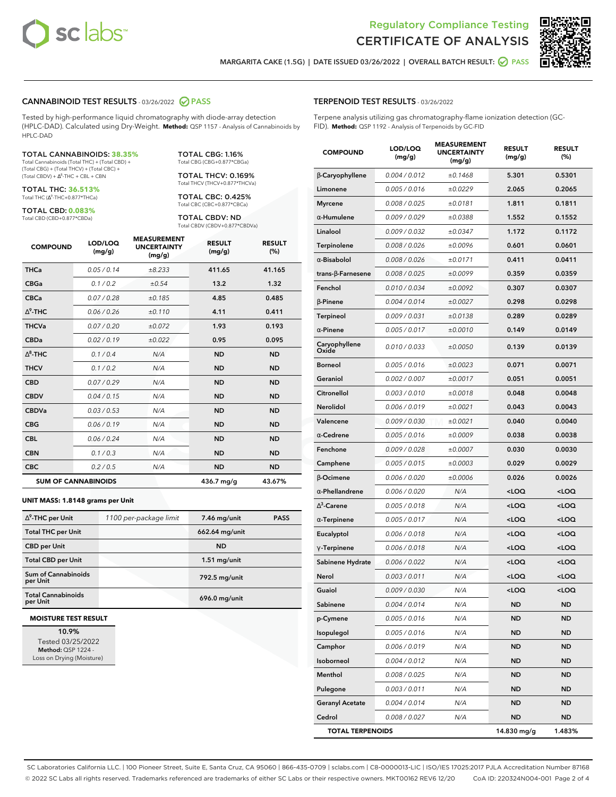



**MARGARITA CAKE (1.5G) | DATE ISSUED 03/26/2022 | OVERALL BATCH RESULT: PASS**

## **CANNABINOID TEST RESULTS** - 03/26/2022 **PASS**

Tested by high-performance liquid chromatography with diode-array detection (HPLC-DAD). Calculated using Dry-Weight. **Method:** QSP 1157 - Analysis of Cannabinoids by HPLC-DAD

### TOTAL CANNABINOIDS: **38.35%**

Total Cannabinoids (Total THC) + (Total CBD) + (Total CBG) + (Total THCV) + (Total CBC) +  $(Total CBDV) +  $\Delta^8$ -THC + CBL + CBN$ 

TOTAL THC: **36.513%** Total THC (Ƽ-THC+0.877\*THCa)

TOTAL CBD: **0.083%**

Total CBD (CBD+0.877\*CBDa)

TOTAL CBG: 1.16% Total CBG (CBG+0.877\*CBGa)

TOTAL THCV: 0.169% Total THCV (THCV+0.877\*THCVa)

TOTAL CBC: 0.425% Total CBC (CBC+0.877\*CBCa)

TOTAL CBDV: ND Total CBDV (CBDV+0.877\*CBDVa)

| <b>COMPOUND</b> | LOD/LOQ<br>(mg/g)          | <b>MEASUREMENT</b><br><b>UNCERTAINTY</b><br>(mg/g) | <b>RESULT</b><br>(mg/g) | <b>RESULT</b><br>(%) |
|-----------------|----------------------------|----------------------------------------------------|-------------------------|----------------------|
| <b>THCa</b>     | 0.05/0.14                  | ±8.233                                             | 411.65                  | 41.165               |
| <b>CBGa</b>     | 0.1/0.2                    | ±0.54                                              | 13.2                    | 1.32                 |
| <b>CBCa</b>     | 0.07/0.28                  | ±0.185                                             | 4.85                    | 0.485                |
| $\Delta^9$ -THC | 0.06 / 0.26                | ±0.110                                             | 4.11                    | 0.411                |
| <b>THCVa</b>    | 0.07/0.20                  | ±0.072                                             | 1.93                    | 0.193                |
| <b>CBDa</b>     | 0.02/0.19                  | ±0.022                                             | 0.95                    | 0.095                |
| $\Delta^8$ -THC | 0.1 / 0.4                  | N/A                                                | <b>ND</b>               | <b>ND</b>            |
| <b>THCV</b>     | 0.1/0.2                    | N/A                                                | <b>ND</b>               | <b>ND</b>            |
| <b>CBD</b>      | 0.07/0.29                  | N/A                                                | <b>ND</b>               | <b>ND</b>            |
| <b>CBDV</b>     | 0.04 / 0.15                | N/A                                                | <b>ND</b>               | <b>ND</b>            |
| <b>CBDVa</b>    | 0.03/0.53                  | N/A                                                | <b>ND</b>               | <b>ND</b>            |
| <b>CBG</b>      | 0.06/0.19                  | N/A                                                | <b>ND</b>               | <b>ND</b>            |
| <b>CBL</b>      | 0.06 / 0.24                | N/A                                                | <b>ND</b>               | <b>ND</b>            |
| <b>CBN</b>      | 0.1/0.3                    | N/A                                                | <b>ND</b>               | <b>ND</b>            |
| <b>CBC</b>      | 0.2 / 0.5                  | N/A                                                | <b>ND</b>               | <b>ND</b>            |
|                 | <b>SUM OF CANNABINOIDS</b> |                                                    | 436.7 mg/g              | 43.67%               |

### **UNIT MASS: 1.8148 grams per Unit**

| $\Delta^9$ -THC per Unit              |                        |                | <b>PASS</b> |
|---------------------------------------|------------------------|----------------|-------------|
|                                       | 1100 per-package limit | 7.46 mg/unit   |             |
| <b>Total THC per Unit</b>             |                        | 662.64 mg/unit |             |
| <b>CBD per Unit</b>                   |                        | <b>ND</b>      |             |
| <b>Total CBD per Unit</b>             |                        | $1.51$ mg/unit |             |
| Sum of Cannabinoids<br>per Unit       |                        | 792.5 mg/unit  |             |
| <b>Total Cannabinoids</b><br>per Unit |                        | 696.0 mg/unit  |             |

### **MOISTURE TEST RESULT**

**10.9%** Tested 03/25/2022 **Method:** QSP 1224 - Loss on Drying (Moisture)

## **TERPENOID TEST RESULTS** - 03/26/2022

Terpene analysis utilizing gas chromatography-flame ionization detection (GC-FID). **Method:** QSP 1192 - Analysis of Terpenoids by GC-FID

| <b>COMPOUND</b>          | LOD/LOQ<br>(mg/g) | <b>MEASUREMENT</b><br><b>UNCERTAINTY</b><br>(mg/g) | <b>RESULT</b><br>(mg/g)                          | <b>RESULT</b><br>(%) |
|--------------------------|-------------------|----------------------------------------------------|--------------------------------------------------|----------------------|
| β-Caryophyllene          | 0.004 / 0.012     | ±0.1468                                            | 5.301                                            | 0.5301               |
| Limonene                 | 0.005 / 0.016     | ±0.0229                                            | 2.065                                            | 0.2065               |
| <b>Myrcene</b>           | 0.008 / 0.025     | ±0.0181                                            | 1.811                                            | 0.1811               |
| $\alpha$ -Humulene       | 0.009 / 0.029     | ±0.0388                                            | 1.552                                            | 0.1552               |
| Linalool                 | 0.009 / 0.032     | ±0.0347                                            | 1.172                                            | 0.1172               |
| Terpinolene              | 0.008 / 0.026     | ±0.0096                                            | 0.601                                            | 0.0601               |
| $\alpha$ -Bisabolol      | 0.008 / 0.026     | ±0.0171                                            | 0.411                                            | 0.0411               |
| $trans-\beta$ -Farnesene | 0.008 / 0.025     | ±0.0099                                            | 0.359                                            | 0.0359               |
| Fenchol                  | 0.010 / 0.034     | ±0.0092                                            | 0.307                                            | 0.0307               |
| $\beta$ -Pinene          | 0.004 / 0.014     | ±0.0027                                            | 0.298                                            | 0.0298               |
| Terpineol                | 0.009 / 0.031     | ±0.0138                                            | 0.289                                            | 0.0289               |
| $\alpha$ -Pinene         | 0.005 / 0.017     | ±0.0010                                            | 0.149                                            | 0.0149               |
| Caryophyllene<br>Oxide   | 0.010 / 0.033     | ±0.0050                                            | 0.139                                            | 0.0139               |
| Borneol                  | 0.005 / 0.016     | ±0.0023                                            | 0.071                                            | 0.0071               |
| Geraniol                 | 0.002 / 0.007     | ±0.0017                                            | 0.051                                            | 0.0051               |
| Citronellol              | 0.003 / 0.010     | ±0.0018                                            | 0.048                                            | 0.0048               |
| Nerolidol                | 0.006 / 0.019     | ±0.0021                                            | 0.043                                            | 0.0043               |
| Valencene                | 0.009 / 0.030     | ±0.0021                                            | 0.040                                            | 0.0040               |
| $\alpha$ -Cedrene        | 0.005 / 0.016     | ±0.0009                                            | 0.038                                            | 0.0038               |
| Fenchone                 | 0.009 / 0.028     | ±0.0007                                            | 0.030                                            | 0.0030               |
| Camphene                 | 0.005 / 0.015     | ±0.0003                                            | 0.029                                            | 0.0029               |
| $\beta$ -Ocimene         | 0.006 / 0.020     | ±0.0006                                            | 0.026                                            | 0.0026               |
| $\alpha$ -Phellandrene   | 0.006 / 0.020     | N/A                                                | <loq< th=""><th><loq< th=""></loq<></th></loq<>  | <loq< th=""></loq<>  |
| $\Delta^3$ -Carene       | 0.005 / 0.018     | N/A                                                | <loq< th=""><th><math>&lt;</math>LOQ</th></loq<> | $<$ LOQ              |
| $\alpha$ -Terpinene      | 0.005 / 0.017     | N/A                                                | <loq< th=""><th><loq< th=""></loq<></th></loq<>  | <loq< th=""></loq<>  |
| Eucalyptol               | 0.006 / 0.018     | N/A                                                | <loq< th=""><th><loq< th=""></loq<></th></loq<>  | <loq< th=""></loq<>  |
| $\gamma$ -Terpinene      | 0.006 / 0.018     | N/A                                                | <loq< th=""><th><loq< th=""></loq<></th></loq<>  | <loq< th=""></loq<>  |
| Sabinene Hydrate         | 0.006 / 0.022     | N/A                                                | <loq< th=""><th><loq< th=""></loq<></th></loq<>  | <loq< th=""></loq<>  |
| Nerol                    | 0.003 / 0.011     | N/A                                                | <loq< th=""><th><loq< th=""></loq<></th></loq<>  | <loq< th=""></loq<>  |
| Guaiol                   | 0.009 / 0.030     | N/A                                                | <loq< th=""><th><math>&lt;</math>LOQ</th></loq<> | $<$ LOQ              |
| Sabinene                 | 0.004 / 0.014     | N/A                                                | <b>ND</b>                                        | <b>ND</b>            |
| p-Cymene                 | 0.005 / 0.016     | N/A                                                | ND                                               | <b>ND</b>            |
| Isopulegol               | 0.005 / 0.016     | N/A                                                | ND                                               | <b>ND</b>            |
| Camphor                  | 0.006 / 0.019     | N/A                                                | ND                                               | <b>ND</b>            |
| Isoborneol               | 0.004 / 0.012     | N/A                                                | ND                                               | <b>ND</b>            |
| Menthol                  | 0.008 / 0.025     | N/A                                                | ND                                               | <b>ND</b>            |
| Pulegone                 | 0.003 / 0.011     | N/A                                                | ND                                               | <b>ND</b>            |
| <b>Geranyl Acetate</b>   | 0.004 / 0.014     | N/A                                                | <b>ND</b>                                        | ND                   |
| Cedrol                   | 0.008 / 0.027     | N/A                                                | ND                                               | <b>ND</b>            |
| <b>TOTAL TERPENOIDS</b>  |                   |                                                    | 14.830 mg/g                                      | 1.483%               |

SC Laboratories California LLC. | 100 Pioneer Street, Suite E, Santa Cruz, CA 95060 | 866-435-0709 | sclabs.com | C8-0000013-LIC | ISO/IES 17025:2017 PJLA Accreditation Number 87168 © 2022 SC Labs all rights reserved. Trademarks referenced are trademarks of either SC Labs or their respective owners. MKT00162 REV6 12/20 CoA ID: 220324N004-001 Page 2 of 4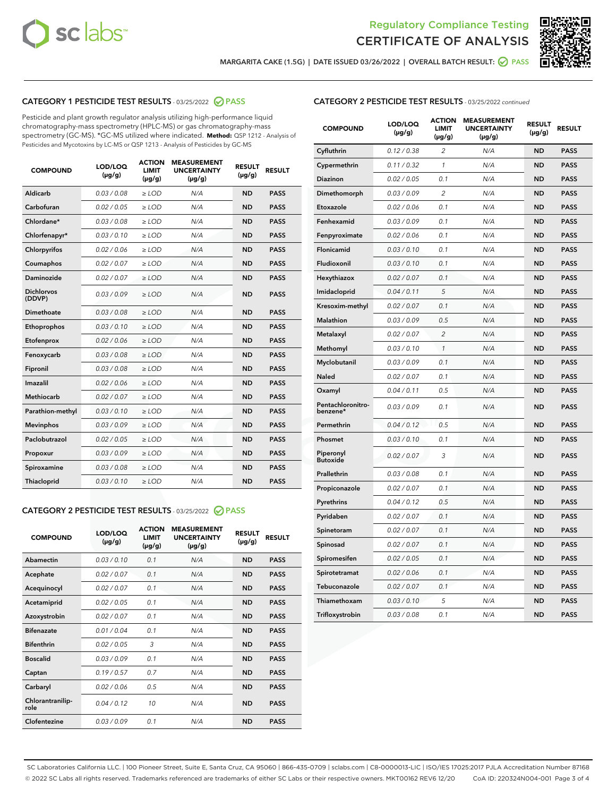



**MARGARITA CAKE (1.5G) | DATE ISSUED 03/26/2022 | OVERALL BATCH RESULT: PASS**

# **CATEGORY 1 PESTICIDE TEST RESULTS** - 03/25/2022 **PASS**

Pesticide and plant growth regulator analysis utilizing high-performance liquid chromatography-mass spectrometry (HPLC-MS) or gas chromatography-mass spectrometry (GC-MS). \*GC-MS utilized where indicated. **Method:** QSP 1212 - Analysis of Pesticides and Mycotoxins by LC-MS or QSP 1213 - Analysis of Pesticides by GC-MS

| <b>COMPOUND</b>             | LOD/LOQ<br>$(\mu g/g)$ | <b>ACTION</b><br>LIMIT<br>$(\mu g/g)$ | <b>MEASUREMENT</b><br><b>UNCERTAINTY</b><br>$(\mu g/g)$ | <b>RESULT</b><br>$(\mu g/g)$ | <b>RESULT</b> |
|-----------------------------|------------------------|---------------------------------------|---------------------------------------------------------|------------------------------|---------------|
| Aldicarb                    | 0.03 / 0.08            | $\ge$ LOD                             | N/A                                                     | <b>ND</b>                    | <b>PASS</b>   |
| Carbofuran                  | 0.02 / 0.05            | $\ge$ LOD                             | N/A                                                     | <b>ND</b>                    | <b>PASS</b>   |
| Chlordane*                  | 0.03/0.08              | $>$ LOD                               | N/A                                                     | <b>ND</b>                    | <b>PASS</b>   |
| Chlorfenapyr*               | 0.03/0.10              | $\ge$ LOD                             | N/A                                                     | <b>ND</b>                    | <b>PASS</b>   |
| Chlorpyrifos                | 0.02 / 0.06            | $>$ LOD                               | N/A                                                     | <b>ND</b>                    | <b>PASS</b>   |
| Coumaphos                   | 0.02 / 0.07            | $\ge$ LOD                             | N/A                                                     | <b>ND</b>                    | <b>PASS</b>   |
| Daminozide                  | 0.02 / 0.07            | $>$ LOD                               | N/A                                                     | <b>ND</b>                    | <b>PASS</b>   |
| <b>Dichlorvos</b><br>(DDVP) | 0.03/0.09              | $\ge$ LOD                             | N/A                                                     | <b>ND</b>                    | <b>PASS</b>   |
| <b>Dimethoate</b>           | 0.03 / 0.08            | $>$ LOD                               | N/A                                                     | <b>ND</b>                    | <b>PASS</b>   |
| Ethoprophos                 | 0.03/0.10              | $\ge$ LOD                             | N/A                                                     | <b>ND</b>                    | <b>PASS</b>   |
| Etofenprox                  | 0.02 / 0.06            | $>$ LOD                               | N/A                                                     | <b>ND</b>                    | <b>PASS</b>   |
| Fenoxycarb                  | 0.03 / 0.08            | $\ge$ LOD                             | N/A                                                     | <b>ND</b>                    | <b>PASS</b>   |
| Fipronil                    | 0.03 / 0.08            | $\ge$ LOD                             | N/A                                                     | <b>ND</b>                    | <b>PASS</b>   |
| Imazalil                    | 0.02 / 0.06            | $\ge$ LOD                             | N/A                                                     | <b>ND</b>                    | <b>PASS</b>   |
| <b>Methiocarb</b>           | 0.02 / 0.07            | $\ge$ LOD                             | N/A                                                     | <b>ND</b>                    | <b>PASS</b>   |
| Parathion-methyl            | 0.03/0.10              | $>$ LOD                               | N/A                                                     | <b>ND</b>                    | <b>PASS</b>   |
| <b>Mevinphos</b>            | 0.03/0.09              | $\ge$ LOD                             | N/A                                                     | <b>ND</b>                    | <b>PASS</b>   |
| Paclobutrazol               | 0.02 / 0.05            | $\ge$ LOD                             | N/A                                                     | <b>ND</b>                    | <b>PASS</b>   |
| Propoxur                    | 0.03/0.09              | $\ge$ LOD                             | N/A                                                     | <b>ND</b>                    | <b>PASS</b>   |
| Spiroxamine                 | 0.03 / 0.08            | $\ge$ LOD                             | N/A                                                     | <b>ND</b>                    | <b>PASS</b>   |
| <b>Thiacloprid</b>          | 0.03/0.10              | $\ge$ LOD                             | N/A                                                     | <b>ND</b>                    | <b>PASS</b>   |

# **CATEGORY 2 PESTICIDE TEST RESULTS** - 03/25/2022 **PASS**

| <b>COMPOUND</b>          | LOD/LOO<br>$(\mu g/g)$ | <b>ACTION</b><br>LIMIT<br>$(\mu g/g)$ | <b>MEASUREMENT</b><br><b>UNCERTAINTY</b><br>$(\mu g/g)$ | <b>RESULT</b><br>$(\mu g/g)$ | <b>RESULT</b> |
|--------------------------|------------------------|---------------------------------------|---------------------------------------------------------|------------------------------|---------------|
| Abamectin                | 0.03/0.10              | 0.1                                   | N/A                                                     | <b>ND</b>                    | <b>PASS</b>   |
| Acephate                 | 0.02/0.07              | 0.1                                   | N/A                                                     | <b>ND</b>                    | <b>PASS</b>   |
| Acequinocyl              | 0.02/0.07              | 0.1                                   | N/A                                                     | <b>ND</b>                    | <b>PASS</b>   |
| Acetamiprid              | 0.02/0.05              | 0.1                                   | N/A                                                     | <b>ND</b>                    | <b>PASS</b>   |
| Azoxystrobin             | 0.02/0.07              | 0.1                                   | N/A                                                     | <b>ND</b>                    | <b>PASS</b>   |
| <b>Bifenazate</b>        | 0.01/0.04              | 0.1                                   | N/A                                                     | <b>ND</b>                    | <b>PASS</b>   |
| <b>Bifenthrin</b>        | 0.02/0.05              | 3                                     | N/A                                                     | <b>ND</b>                    | <b>PASS</b>   |
| <b>Boscalid</b>          | 0.03/0.09              | 0.1                                   | N/A                                                     | <b>ND</b>                    | <b>PASS</b>   |
| Captan                   | 0.19/0.57              | 07                                    | N/A                                                     | <b>ND</b>                    | <b>PASS</b>   |
| Carbaryl                 | 0.02/0.06              | 0.5                                   | N/A                                                     | <b>ND</b>                    | <b>PASS</b>   |
| Chlorantranilip-<br>role | 0.04/0.12              | 10                                    | N/A                                                     | <b>ND</b>                    | <b>PASS</b>   |
| Clofentezine             | 0.03/0.09              | 0.1                                   | N/A                                                     | <b>ND</b>                    | <b>PASS</b>   |

# **CATEGORY 2 PESTICIDE TEST RESULTS** - 03/25/2022 continued

| <b>COMPOUND</b>               | LOD/LOQ<br>$(\mu g/g)$ | <b>ACTION</b><br><b>LIMIT</b><br>(µg/g) | <b>MEASUREMENT</b><br><b>UNCERTAINTY</b><br>(µg/g) | <b>RESULT</b><br>$(\mu g/g)$ | <b>RESULT</b> |
|-------------------------------|------------------------|-----------------------------------------|----------------------------------------------------|------------------------------|---------------|
| Cyfluthrin                    | 0.12 / 0.38            | $\overline{c}$                          | N/A                                                | ND                           | <b>PASS</b>   |
| Cypermethrin                  | 0.11 / 0.32            | 1                                       | N/A                                                | <b>ND</b>                    | <b>PASS</b>   |
| Diazinon                      | 0.02 / 0.05            | 0.1                                     | N/A                                                | <b>ND</b>                    | <b>PASS</b>   |
| Dimethomorph                  | 0.03 / 0.09            | 2                                       | N/A                                                | <b>ND</b>                    | <b>PASS</b>   |
| Etoxazole                     | 0.02 / 0.06            | 0.1                                     | N/A                                                | <b>ND</b>                    | <b>PASS</b>   |
| Fenhexamid                    | 0.03 / 0.09            | 0.1                                     | N/A                                                | <b>ND</b>                    | <b>PASS</b>   |
| Fenpyroximate                 | 0.02 / 0.06            | 0.1                                     | N/A                                                | <b>ND</b>                    | <b>PASS</b>   |
| Flonicamid                    | 0.03 / 0.10            | 0.1                                     | N/A                                                | <b>ND</b>                    | <b>PASS</b>   |
| Fludioxonil                   | 0.03 / 0.10            | 0.1                                     | N/A                                                | <b>ND</b>                    | <b>PASS</b>   |
| Hexythiazox                   | 0.02 / 0.07            | 0.1                                     | N/A                                                | ND                           | <b>PASS</b>   |
| Imidacloprid                  | 0.04 / 0.11            | 5                                       | N/A                                                | ND                           | <b>PASS</b>   |
| Kresoxim-methyl               | 0.02 / 0.07            | 0.1                                     | N/A                                                | <b>ND</b>                    | <b>PASS</b>   |
| <b>Malathion</b>              | 0.03 / 0.09            | 0.5                                     | N/A                                                | <b>ND</b>                    | <b>PASS</b>   |
| Metalaxyl                     | 0.02 / 0.07            | $\overline{c}$                          | N/A                                                | <b>ND</b>                    | <b>PASS</b>   |
| Methomyl                      | 0.03 / 0.10            | $\mathbf{1}$                            | N/A                                                | ND                           | <b>PASS</b>   |
| Myclobutanil                  | 0.03 / 0.09            | 0.1                                     | N/A                                                | <b>ND</b>                    | <b>PASS</b>   |
| Naled                         | 0.02 / 0.07            | 0.1                                     | N/A                                                | <b>ND</b>                    | <b>PASS</b>   |
| Oxamyl                        | 0.04 / 0.11            | 0.5                                     | N/A                                                | ND                           | <b>PASS</b>   |
| Pentachloronitro-<br>benzene* | 0.03 / 0.09            | 0.1                                     | N/A                                                | <b>ND</b>                    | <b>PASS</b>   |
| Permethrin                    | 0.04 / 0.12            | 0.5                                     | N/A                                                | ND                           | <b>PASS</b>   |
| Phosmet                       | 0.03 / 0.10            | 0.1                                     | N/A                                                | <b>ND</b>                    | <b>PASS</b>   |
| Piperonyl<br><b>Butoxide</b>  | 0.02 / 0.07            | 3                                       | N/A                                                | <b>ND</b>                    | <b>PASS</b>   |
| Prallethrin                   | 0.03 / 0.08            | 0.1                                     | N/A                                                | <b>ND</b>                    | <b>PASS</b>   |
| Propiconazole                 | 0.02 / 0.07            | 0.1                                     | N/A                                                | <b>ND</b>                    | <b>PASS</b>   |
| Pyrethrins                    | 0.04 / 0.12            | 0.5                                     | N/A                                                | <b>ND</b>                    | <b>PASS</b>   |
| Pyridaben                     | 0.02 / 0.07            | 0.1                                     | N/A                                                | ND                           | <b>PASS</b>   |
| Spinetoram                    | 0.02 / 0.07            | 0.1                                     | N/A                                                | ND                           | <b>PASS</b>   |
| Spinosad                      | 0.02 / 0.07            | 0.1                                     | N/A                                                | <b>ND</b>                    | <b>PASS</b>   |
| Spiromesifen                  | 0.02 / 0.05            | 0.1                                     | N/A                                                | <b>ND</b>                    | <b>PASS</b>   |
| Spirotetramat                 | 0.02 / 0.06            | 0.1                                     | N/A                                                | ND                           | <b>PASS</b>   |
| Tebuconazole                  | 0.02 / 0.07            | 0.1                                     | N/A                                                | ND                           | PASS          |
| Thiamethoxam                  | 0.03 / 0.10            | 5                                       | N/A                                                | ND                           | <b>PASS</b>   |
| Trifloxystrobin               | 0.03 / 0.08            | 0.1                                     | N/A                                                | <b>ND</b>                    | <b>PASS</b>   |

SC Laboratories California LLC. | 100 Pioneer Street, Suite E, Santa Cruz, CA 95060 | 866-435-0709 | sclabs.com | C8-0000013-LIC | ISO/IES 17025:2017 PJLA Accreditation Number 87168 © 2022 SC Labs all rights reserved. Trademarks referenced are trademarks of either SC Labs or their respective owners. MKT00162 REV6 12/20 CoA ID: 220324N004-001 Page 3 of 4